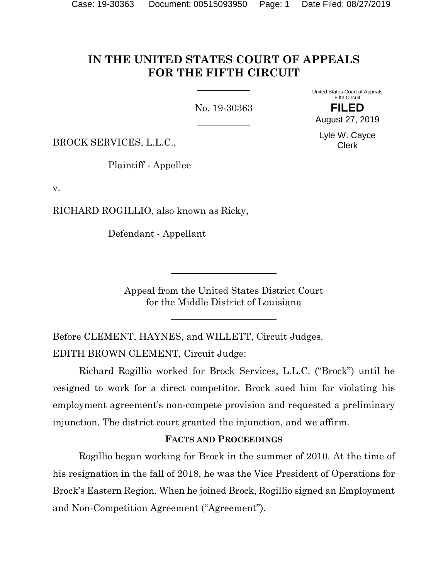# **IN THE UNITED STATES COURT OF APPEALS FOR THE FIFTH CIRCUIT**

No. 19-30363

United States Court of Appeals Fifth Circuit **FILED**

August 27, 2019

BROCK SERVICES, L.L.C.,

Plaintiff - Appellee

v.

RICHARD ROGILLIO, also known as Ricky,

Defendant - Appellant

Appeal from the United States District Court for the Middle District of Louisiana

Before CLEMENT, HAYNES, and WILLETT, Circuit Judges. EDITH BROWN CLEMENT, Circuit Judge:

Richard Rogillio worked for Brock Services, L.L.C. ("Brock") until he resigned to work for a direct competitor. Brock sued him for violating his employment agreement's non-compete provision and requested a preliminary injunction. The district court granted the injunction, and we affirm.

#### **FACTS AND PROCEEDINGS**

Rogillio began working for Brock in the summer of 2010. At the time of his resignation in the fall of 2018, he was the Vice President of Operations for Brock's Eastern Region. When he joined Brock, Rogillio signed an Employment and Non-Competition Agreement ("Agreement").

Lyle W. Cayce Clerk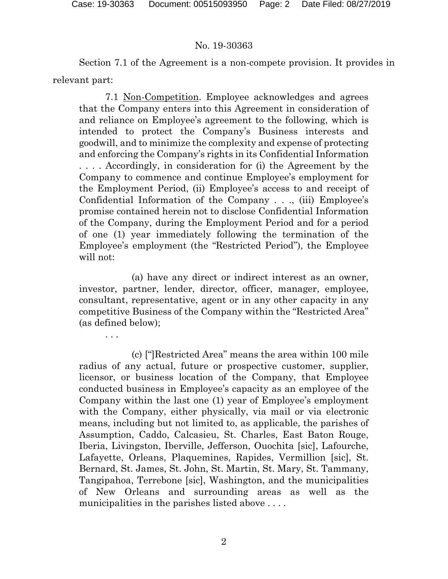. . .

#### No. 19-30363

Section 7.1 of the Agreement is a non-compete provision. It provides in relevant part:

7.1 Non-Competition. Employee acknowledges and agrees that the Company enters into this Agreement in consideration of and reliance on Employee's agreement to the following, which is intended to protect the Company's Business interests and goodwill, and to minimize the complexity and expense of protecting and enforcing the Company's rights in its Confidential Information . . . . Accordingly, in consideration for (i) the Agreement by the Company to commence and continue Employee's employment for the Employment Period, (ii) Employee's access to and receipt of Confidential Information of the Company . . ., (iii) Employee's promise contained herein not to disclose Confidential Information of the Company, during the Employment Period and for a period of one (1) year immediately following the termination of the Employee's employment (the "Restricted Period"), the Employee will not:

(a) have any direct or indirect interest as an owner, investor, partner, lender, director, officer, manager, employee, consultant, representative, agent or in any other capacity in any competitive Business of the Company within the "Restricted Area" (as defined below);

(c) ["]Restricted Area" means the area within 100 mile radius of any actual, future or prospective customer, supplier, licensor, or business location of the Company, that Employee conducted business in Employee's capacity as an employee of the Company within the last one (1) year of Employee's employment with the Company, either physically, via mail or via electronic means, including but not limited to, as applicable, the parishes of Assumption, Caddo, Calcasieu, St. Charles, East Baton Rouge, Iberia, Livingston, Iberville, Jefferson, Ouochita [sic], Lafourche, Lafayette, Orleans, Plaquemines, Rapides, Vermillion [sic], St. Bernard, St. James, St. John, St. Martin, St. Mary, St. Tammany, Tangipahoa, Terrebone [sic], Washington, and the municipalities of New Orleans and surrounding areas as well as the municipalities in the parishes listed above . . . .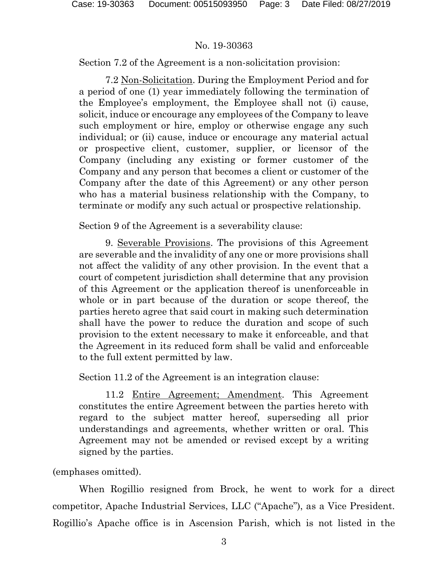Section 7.2 of the Agreement is a non-solicitation provision:

7.2 Non-Solicitation. During the Employment Period and for a period of one (1) year immediately following the termination of the Employee's employment, the Employee shall not (i) cause, solicit, induce or encourage any employees of the Company to leave such employment or hire, employ or otherwise engage any such individual; or (ii) cause, induce or encourage any material actual or prospective client, customer, supplier, or licensor of the Company (including any existing or former customer of the Company and any person that becomes a client or customer of the Company after the date of this Agreement) or any other person who has a material business relationship with the Company, to terminate or modify any such actual or prospective relationship.

Section 9 of the Agreement is a severability clause:

9. Severable Provisions. The provisions of this Agreement are severable and the invalidity of any one or more provisions shall not affect the validity of any other provision. In the event that a court of competent jurisdiction shall determine that any provision of this Agreement or the application thereof is unenforceable in whole or in part because of the duration or scope thereof, the parties hereto agree that said court in making such determination shall have the power to reduce the duration and scope of such provision to the extent necessary to make it enforceable, and that the Agreement in its reduced form shall be valid and enforceable to the full extent permitted by law.

Section 11.2 of the Agreement is an integration clause:

11.2 Entire Agreement; Amendment. This Agreement constitutes the entire Agreement between the parties hereto with regard to the subject matter hereof, superseding all prior understandings and agreements, whether written or oral. This Agreement may not be amended or revised except by a writing signed by the parties.

(emphases omitted).

When Rogillio resigned from Brock, he went to work for a direct competitor, Apache Industrial Services, LLC ("Apache"), as a Vice President. Rogillio's Apache office is in Ascension Parish, which is not listed in the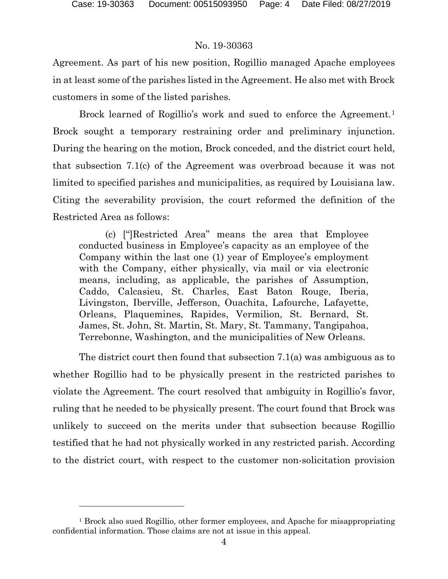l

# No. 19-30363

Agreement. As part of his new position, Rogillio managed Apache employees in at least some of the parishes listed in the Agreement. He also met with Brock customers in some of the listed parishes.

Brock learned of Rogillio's work and sued to enforce the Agreement.<sup>[1](#page-3-0)</sup> Brock sought a temporary restraining order and preliminary injunction. During the hearing on the motion, Brock conceded, and the district court held, that subsection 7.1(c) of the Agreement was overbroad because it was not limited to specified parishes and municipalities, as required by Louisiana law. Citing the severability provision, the court reformed the definition of the Restricted Area as follows:

(c) ["]Restricted Area" means the area that Employee conducted business in Employee's capacity as an employee of the Company within the last one (1) year of Employee's employment with the Company, either physically, via mail or via electronic means, including, as applicable, the parishes of Assumption, Caddo, Calcasieu, St. Charles, East Baton Rouge, Iberia, Livingston, Iberville, Jefferson, Ouachita, Lafourche, Lafayette, Orleans, Plaquemines, Rapides, Vermilion, St. Bernard, St. James, St. John, St. Martin, St. Mary, St. Tammany, Tangipahoa, Terrebonne, Washington, and the municipalities of New Orleans.

The district court then found that subsection 7.1(a) was ambiguous as to whether Rogillio had to be physically present in the restricted parishes to violate the Agreement. The court resolved that ambiguity in Rogillio's favor, ruling that he needed to be physically present. The court found that Brock was unlikely to succeed on the merits under that subsection because Rogillio testified that he had not physically worked in any restricted parish. According to the district court, with respect to the customer non-solicitation provision

<span id="page-3-0"></span><sup>1</sup> Brock also sued Rogillio, other former employees, and Apache for misappropriating confidential information. Those claims are not at issue in this appeal.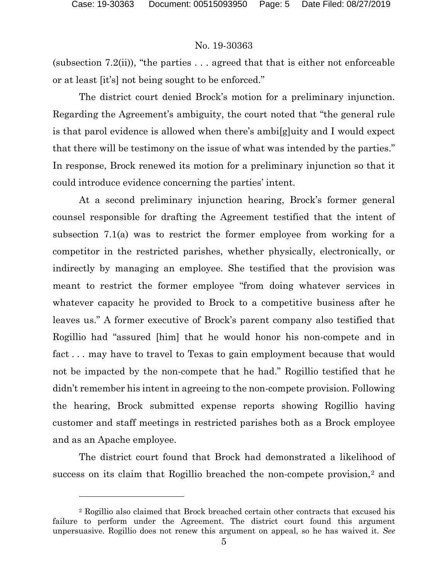$\overline{a}$ 

## No. 19-30363

(subsection 7.2(ii)), "the parties  $\dots$  agreed that that is either not enforceable or at least [it's] not being sought to be enforced."

The district court denied Brock's motion for a preliminary injunction. Regarding the Agreement's ambiguity, the court noted that "the general rule is that parol evidence is allowed when there's ambi[g]uity and I would expect that there will be testimony on the issue of what was intended by the parties." In response, Brock renewed its motion for a preliminary injunction so that it could introduce evidence concerning the parties' intent.

At a second preliminary injunction hearing, Brock's former general counsel responsible for drafting the Agreement testified that the intent of subsection 7.1(a) was to restrict the former employee from working for a competitor in the restricted parishes, whether physically, electronically, or indirectly by managing an employee. She testified that the provision was meant to restrict the former employee "from doing whatever services in whatever capacity he provided to Brock to a competitive business after he leaves us." A former executive of Brock's parent company also testified that Rogillio had "assured [him] that he would honor his non-compete and in fact . . . may have to travel to Texas to gain employment because that would not be impacted by the non-compete that he had." Rogillio testified that he didn't remember his intent in agreeing to the non-compete provision. Following the hearing, Brock submitted expense reports showing Rogillio having customer and staff meetings in restricted parishes both as a Brock employee and as an Apache employee.

The district court found that Brock had demonstrated a likelihood of success on its claim that Rogillio breached the non-compete provision,<sup>[2](#page-4-0)</sup> and

<span id="page-4-0"></span><sup>2</sup> Rogillio also claimed that Brock breached certain other contracts that excused his failure to perform under the Agreement. The district court found this argument unpersuasive. Rogillio does not renew this argument on appeal, so he has waived it. *See*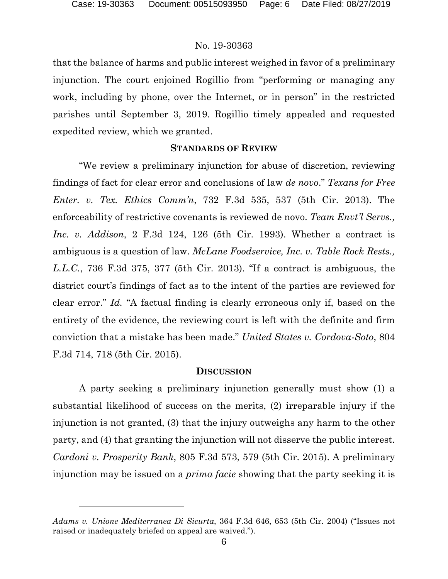l

# No. 19-30363

that the balance of harms and public interest weighed in favor of a preliminary injunction. The court enjoined Rogillio from "performing or managing any work, including by phone, over the Internet, or in person" in the restricted parishes until September 3, 2019. Rogillio timely appealed and requested expedited review, which we granted.

## **STANDARDS OF REVIEW**

"We review a preliminary injunction for abuse of discretion, reviewing findings of fact for clear error and conclusions of law *de novo*." *Texans for Free Enter. v. Tex. Ethics Comm'n*, 732 F.3d 535, 537 (5th Cir. 2013). The enforceability of restrictive covenants is reviewed de novo. *Team Envt'l Servs., Inc. v. Addison*, 2 F.3d 124, 126 (5th Cir. 1993). Whether a contract is ambiguous is a question of law. *McLane Foodservice, Inc. v. Table Rock Rests., L.L.C.*, 736 F.3d 375, 377 (5th Cir. 2013). "If a contract is ambiguous, the district court's findings of fact as to the intent of the parties are reviewed for clear error." *Id.* "A factual finding is clearly erroneous only if, based on the entirety of the evidence, the reviewing court is left with the definite and firm conviction that a mistake has been made." *United States v. Cordova-Soto*, 804 F.3d 714, 718 (5th Cir. 2015).

# **DISCUSSION**

A party seeking a preliminary injunction generally must show (1) a substantial likelihood of success on the merits, (2) irreparable injury if the injunction is not granted, (3) that the injury outweighs any harm to the other party, and (4) that granting the injunction will not disserve the public interest. *Cardoni v. Prosperity Bank*, 805 F.3d 573, 579 (5th Cir. 2015). A preliminary injunction may be issued on a *prima facie* showing that the party seeking it is

*Adams v. Unione Mediterranea Di Sicurta*, 364 F.3d 646, 653 (5th Cir. 2004) ("Issues not raised or inadequately briefed on appeal are waived.").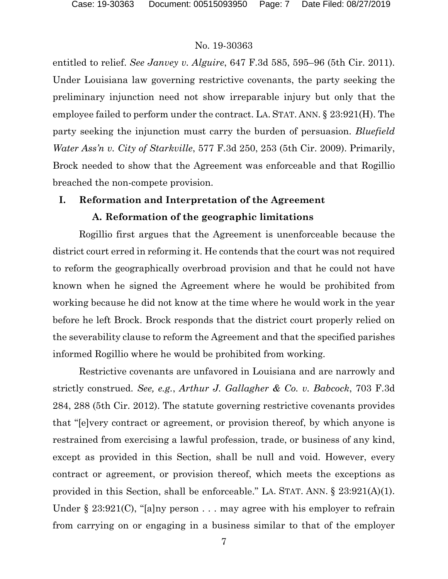entitled to relief. *See Janvey v. Alguire*, 647 F.3d 585, 595–96 (5th Cir. 2011). Under Louisiana law governing restrictive covenants, the party seeking the preliminary injunction need not show irreparable injury but only that the employee failed to perform under the contract. LA. STAT. ANN. § 23:921(H). The party seeking the injunction must carry the burden of persuasion. *Bluefield Water Ass'n v. City of Starkville*, 577 F.3d 250, 253 (5th Cir. 2009). Primarily, Brock needed to show that the Agreement was enforceable and that Rogillio breached the non-compete provision.

## **I. Reformation and Interpretation of the Agreement**

#### **A. Reformation of the geographic limitations**

Rogillio first argues that the Agreement is unenforceable because the district court erred in reforming it. He contends that the court was not required to reform the geographically overbroad provision and that he could not have known when he signed the Agreement where he would be prohibited from working because he did not know at the time where he would work in the year before he left Brock. Brock responds that the district court properly relied on the severability clause to reform the Agreement and that the specified parishes informed Rogillio where he would be prohibited from working.

Restrictive covenants are unfavored in Louisiana and are narrowly and strictly construed. *See, e.g.*, *Arthur J. Gallagher & Co. v. Babcock*, 703 F.3d 284, 288 (5th Cir. 2012). The statute governing restrictive covenants provides that "[e]very contract or agreement, or provision thereof, by which anyone is restrained from exercising a lawful profession, trade, or business of any kind, except as provided in this Section, shall be null and void. However, every contract or agreement, or provision thereof, which meets the exceptions as provided in this Section, shall be enforceable." LA. STAT. ANN. § 23:921(A)(1). Under § 23:921(C), "[a]ny person . . . may agree with his employer to refrain from carrying on or engaging in a business similar to that of the employer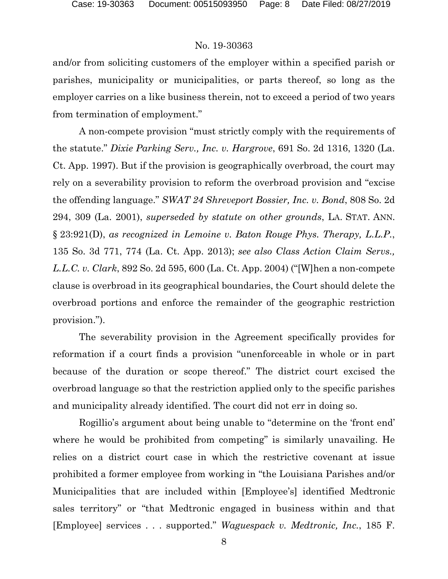and/or from soliciting customers of the employer within a specified parish or parishes, municipality or municipalities, or parts thereof, so long as the employer carries on a like business therein, not to exceed a period of two years from termination of employment."

A non-compete provision "must strictly comply with the requirements of the statute." *Dixie Parking Serv., Inc. v. Hargrove*, 691 So. 2d 1316, 1320 (La. Ct. App. 1997). But if the provision is geographically overbroad, the court may rely on a severability provision to reform the overbroad provision and "excise the offending language." *SWAT 24 Shreveport Bossier, Inc. v. Bond*, 808 So. 2d 294, 309 (La. 2001), *superseded by statute on other grounds*, LA. STAT. ANN. § 23:921(D), *as recognized in Lemoine v. Baton Rouge Phys. Therapy, L.L.P.*, 135 So. 3d 771, 774 (La. Ct. App. 2013); *see also Class Action Claim Servs., L.L.C. v. Clark*, 892 So. 2d 595, 600 (La. Ct. App. 2004) ("[W]hen a non-compete clause is overbroad in its geographical boundaries, the Court should delete the overbroad portions and enforce the remainder of the geographic restriction provision.").

The severability provision in the Agreement specifically provides for reformation if a court finds a provision "unenforceable in whole or in part because of the duration or scope thereof." The district court excised the overbroad language so that the restriction applied only to the specific parishes and municipality already identified. The court did not err in doing so.

Rogillio's argument about being unable to "determine on the 'front end' where he would be prohibited from competing" is similarly unavailing. He relies on a district court case in which the restrictive covenant at issue prohibited a former employee from working in "the Louisiana Parishes and/or Municipalities that are included within [Employee's] identified Medtronic sales territory" or "that Medtronic engaged in business within and that [Employee] services . . . supported." *Waguespack v. Medtronic, Inc.*, 185 F.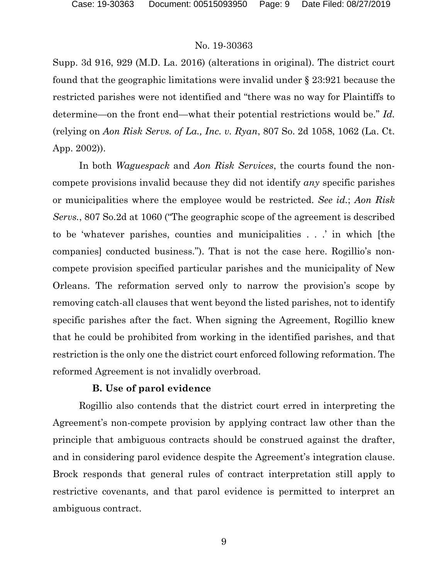Supp. 3d 916, 929 (M.D. La. 2016) (alterations in original). The district court found that the geographic limitations were invalid under § 23:921 because the restricted parishes were not identified and "there was no way for Plaintiffs to determine—on the front end—what their potential restrictions would be." *Id.* (relying on *Aon Risk Servs. of La., Inc. v. Ryan*, 807 So. 2d 1058, 1062 (La. Ct. App. 2002)).

In both *Waguespack* and *Aon Risk Services*, the courts found the noncompete provisions invalid because they did not identify *any* specific parishes or municipalities where the employee would be restricted. *See id.*; *Aon Risk Servs.*, 807 So.2d at 1060 ("The geographic scope of the agreement is described to be 'whatever parishes, counties and municipalities . . .' in which [the companies] conducted business."). That is not the case here. Rogillio's noncompete provision specified particular parishes and the municipality of New Orleans. The reformation served only to narrow the provision's scope by removing catch-all clauses that went beyond the listed parishes, not to identify specific parishes after the fact. When signing the Agreement, Rogillio knew that he could be prohibited from working in the identified parishes, and that restriction is the only one the district court enforced following reformation. The reformed Agreement is not invalidly overbroad.

#### **B. Use of parol evidence**

Rogillio also contends that the district court erred in interpreting the Agreement's non-compete provision by applying contract law other than the principle that ambiguous contracts should be construed against the drafter, and in considering parol evidence despite the Agreement's integration clause. Brock responds that general rules of contract interpretation still apply to restrictive covenants, and that parol evidence is permitted to interpret an ambiguous contract.

9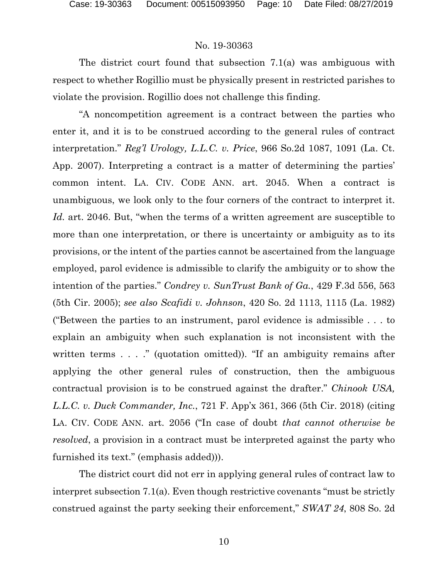The district court found that subsection 7.1(a) was ambiguous with respect to whether Rogillio must be physically present in restricted parishes to violate the provision. Rogillio does not challenge this finding.

"A noncompetition agreement is a contract between the parties who enter it, and it is to be construed according to the general rules of contract interpretation." *Reg'l Urology, L.L.C. v. Price*, 966 So.2d 1087, 1091 (La. Ct. App. 2007). Interpreting a contract is a matter of determining the parties' common intent. LA. CIV. CODE ANN. art. 2045. When a contract is unambiguous, we look only to the four corners of the contract to interpret it. *Id.* art. 2046. But, "when the terms of a written agreement are susceptible to more than one interpretation, or there is uncertainty or ambiguity as to its provisions, or the intent of the parties cannot be ascertained from the language employed, parol evidence is admissible to clarify the ambiguity or to show the intention of the parties." *Condrey v. SunTrust Bank of Ga.*, 429 F.3d 556, 563 (5th Cir. 2005); *see also Scafidi v. Johnson*, 420 So. 2d 1113, 1115 (La. 1982) ("Between the parties to an instrument, parol evidence is admissible . . . to explain an ambiguity when such explanation is not inconsistent with the written terms . . . ." (quotation omitted)). "If an ambiguity remains after applying the other general rules of construction, then the ambiguous contractual provision is to be construed against the drafter." *Chinook USA, L.L.C. v. Duck Commander, Inc.*, 721 F. App'x 361, 366 (5th Cir. 2018) (citing LA. CIV. CODE ANN. art. 2056 ("In case of doubt *that cannot otherwise be resolved*, a provision in a contract must be interpreted against the party who furnished its text." (emphasis added))).

The district court did not err in applying general rules of contract law to interpret subsection 7.1(a). Even though restrictive covenants "must be strictly construed against the party seeking their enforcement," *SWAT 24*, 808 So. 2d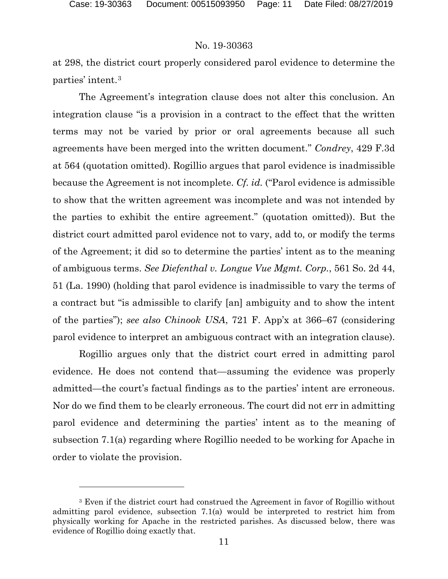$\overline{a}$ 

#### No. 19-30363

at 298, the district court properly considered parol evidence to determine the parties' intent.[3](#page-10-0)

The Agreement's integration clause does not alter this conclusion. An integration clause "is a provision in a contract to the effect that the written terms may not be varied by prior or oral agreements because all such agreements have been merged into the written document." *Condrey*, 429 F.3d at 564 (quotation omitted). Rogillio argues that parol evidence is inadmissible because the Agreement is not incomplete. *Cf. id.* ("Parol evidence is admissible to show that the written agreement was incomplete and was not intended by the parties to exhibit the entire agreement." (quotation omitted)). But the district court admitted parol evidence not to vary, add to, or modify the terms of the Agreement; it did so to determine the parties' intent as to the meaning of ambiguous terms. *See Diefenthal v. Longue Vue Mgmt. Corp.*, 561 So. 2d 44, 51 (La. 1990) (holding that parol evidence is inadmissible to vary the terms of a contract but "is admissible to clarify [an] ambiguity and to show the intent of the parties"); *see also Chinook USA*, 721 F. App'x at 366–67 (considering parol evidence to interpret an ambiguous contract with an integration clause).

Rogillio argues only that the district court erred in admitting parol evidence. He does not contend that—assuming the evidence was properly admitted—the court's factual findings as to the parties' intent are erroneous. Nor do we find them to be clearly erroneous. The court did not err in admitting parol evidence and determining the parties' intent as to the meaning of subsection 7.1(a) regarding where Rogillio needed to be working for Apache in order to violate the provision.

<span id="page-10-0"></span><sup>3</sup> Even if the district court had construed the Agreement in favor of Rogillio without admitting parol evidence, subsection 7.1(a) would be interpreted to restrict him from physically working for Apache in the restricted parishes. As discussed below, there was evidence of Rogillio doing exactly that.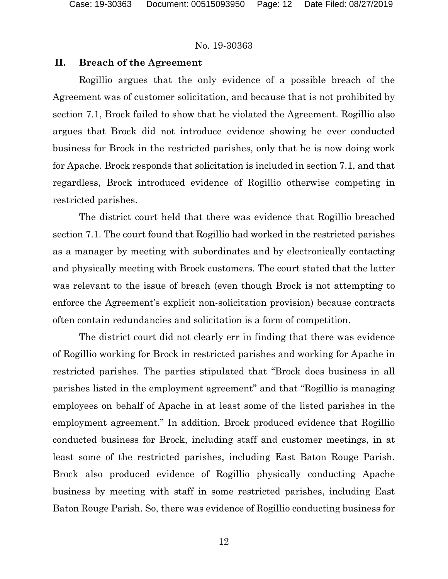# **II. Breach of the Agreement**

Rogillio argues that the only evidence of a possible breach of the Agreement was of customer solicitation, and because that is not prohibited by section 7.1, Brock failed to show that he violated the Agreement. Rogillio also argues that Brock did not introduce evidence showing he ever conducted business for Brock in the restricted parishes, only that he is now doing work for Apache. Brock responds that solicitation is included in section 7.1, and that regardless, Brock introduced evidence of Rogillio otherwise competing in restricted parishes.

The district court held that there was evidence that Rogillio breached section 7.1. The court found that Rogillio had worked in the restricted parishes as a manager by meeting with subordinates and by electronically contacting and physically meeting with Brock customers. The court stated that the latter was relevant to the issue of breach (even though Brock is not attempting to enforce the Agreement's explicit non-solicitation provision) because contracts often contain redundancies and solicitation is a form of competition.

The district court did not clearly err in finding that there was evidence of Rogillio working for Brock in restricted parishes and working for Apache in restricted parishes. The parties stipulated that "Brock does business in all parishes listed in the employment agreement" and that "Rogillio is managing employees on behalf of Apache in at least some of the listed parishes in the employment agreement." In addition, Brock produced evidence that Rogillio conducted business for Brock, including staff and customer meetings, in at least some of the restricted parishes, including East Baton Rouge Parish. Brock also produced evidence of Rogillio physically conducting Apache business by meeting with staff in some restricted parishes, including East Baton Rouge Parish. So, there was evidence of Rogillio conducting business for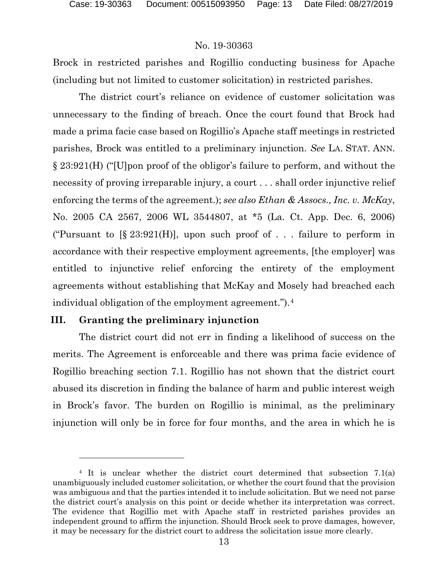Brock in restricted parishes and Rogillio conducting business for Apache (including but not limited to customer solicitation) in restricted parishes.

The district court's reliance on evidence of customer solicitation was unnecessary to the finding of breach. Once the court found that Brock had made a prima facie case based on Rogillio's Apache staff meetings in restricted parishes, Brock was entitled to a preliminary injunction. *See* LA. STAT. ANN. § 23:921(H) ("[U]pon proof of the obligor's failure to perform, and without the necessity of proving irreparable injury, a court . . . shall order injunctive relief enforcing the terms of the agreement.); *see also Ethan & Assocs., Inc. v. McKay*, No. 2005 CA 2567, 2006 WL 3544807, at \*5 (La. Ct. App. Dec. 6, 2006) ("Pursuant to  $[\S 23:921(H)]$ , upon such proof of . . . failure to perform in accordance with their respective employment agreements, [the employer] was entitled to injunctive relief enforcing the entirety of the employment agreements without establishing that McKay and Mosely had breached each individual obligation of the employment agreement.").[4](#page-12-0)

#### **III. Granting the preliminary injunction**

 $\overline{a}$ 

The district court did not err in finding a likelihood of success on the merits. The Agreement is enforceable and there was prima facie evidence of Rogillio breaching section 7.1. Rogillio has not shown that the district court abused its discretion in finding the balance of harm and public interest weigh in Brock's favor. The burden on Rogillio is minimal, as the preliminary injunction will only be in force for four months, and the area in which he is

<span id="page-12-0"></span><sup>4</sup> It is unclear whether the district court determined that subsection 7.1(a) unambiguously included customer solicitation, or whether the court found that the provision was ambiguous and that the parties intended it to include solicitation. But we need not parse the district court's analysis on this point or decide whether its interpretation was correct. The evidence that Rogillio met with Apache staff in restricted parishes provides an independent ground to affirm the injunction. Should Brock seek to prove damages, however, it may be necessary for the district court to address the solicitation issue more clearly.